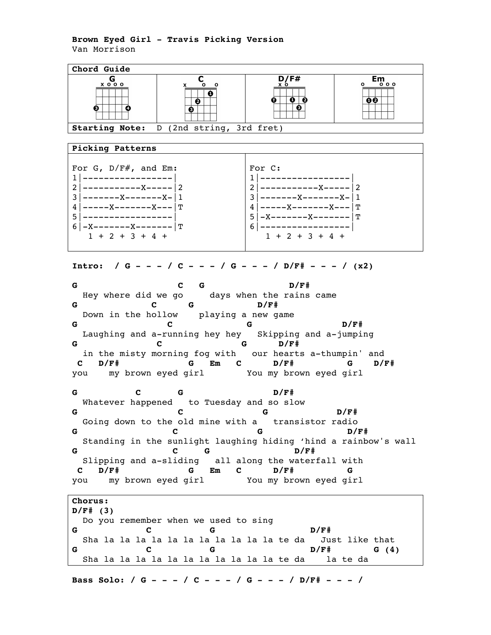## **Brown Eyed Girl - Travis Picking Version** Van Morrison

**Chord Guide**  $E_{\frac{0.00}{0.00}}$  $x \circ \circ \circ$  $\overline{\phantom{a}}$  $\overline{\mathbf{e}}$  $00$ Ø. ė. O ❸ **Starting Note:** D (2nd string, 3rd fret) **Picking Patterns** For G, D/F#, and Em: For C: 1|-----------------| 1|-----------------| 2|-----------X-----|2 2|-----------X-----|2  $3$  | -------X-------X-|1  $3$  | -------X-------X-|1 4|-----X-------X---|T 4|-----X-------X---|T 5|-----------------|  $5$ |-X-------X-------|T  $6$ |-X-------X-------|T 6|-----------------|  $1 + 2 + 3 + 4 +$  $1 + 2 + 3 + 4 +$ **Intro: / G - - - / C - - - / G - - - / D/F# - - - / (x2) G C G D/F#** Hey where did we go days when the rains came **G C G D/F#** Down in the hollow playing a new game **G C G D/F#** Laughing and a-running hey hey Skipping and a-jumping **G C G D/F#**  in the misty morning fog with our hearts a-thumpin' and **C D/F# G Em C D/F# G D/F#** you my brown eyed girl You my brown eyed girl **G C G D/F#** Whatever happened to Tuesday and so slow **G C G D/F#** Going down to the old mine with a transistor radio **G C G D/F#** Standing in the sunlight laughing hiding 'hind a rainbow's wall **G C G D/F#** Slipping and a-sliding all along the waterfall with **C D/F# G Em C D/F# G**  you my brown eyed girl You my brown eyed girl **Chorus: D/F# (3)** Do you remember when we used to sing **G C G D/F#** Sha la la la la la la la la la la la te da Just like that **G C G D/F# G (4)** Sha la la la la la la la la la la la te da la te da

**Bass Solo: / G - - - / C - - - / G - - - / D/F# - - - /**